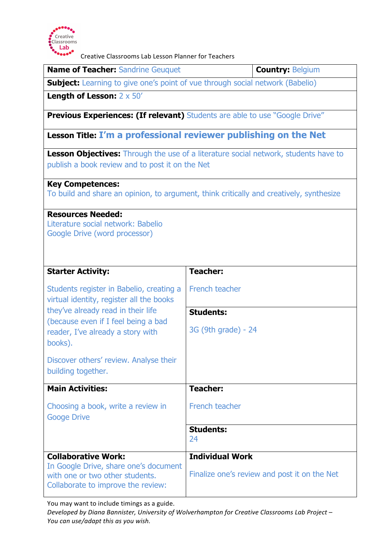

Creative Classrooms Lab Lesson Planner for Teachers

| <b>Name of Teacher: Sandrine Geuquet</b>                                                                                                                                                                          | <b>Country: Belgium</b>                      |  |
|-------------------------------------------------------------------------------------------------------------------------------------------------------------------------------------------------------------------|----------------------------------------------|--|
| <b>Subject:</b> Learning to give one's point of vue through social network (Babelio)                                                                                                                              |                                              |  |
| <b>Length of Lesson:</b> $2 \times 50'$                                                                                                                                                                           |                                              |  |
| <b>Previous Experiences: (If relevant)</b> Students are able to use "Google Drive"                                                                                                                                |                                              |  |
| Lesson Title: I'm a professional reviewer publishing on the Net                                                                                                                                                   |                                              |  |
| <b>Lesson Objectives:</b> Through the use of a literature social network, students have to<br>publish a book review and to post it on the Net                                                                     |                                              |  |
| <b>Key Competences:</b><br>To build and share an opinion, to argument, think critically and creatively, synthesize                                                                                                |                                              |  |
| <b>Resources Needed:</b><br>Literature social network: Babelio<br>Google Drive (word processor)                                                                                                                   |                                              |  |
| <b>Starter Activity:</b>                                                                                                                                                                                          | <b>Teacher:</b>                              |  |
| Students register in Babelio, creating a<br>virtual identity, register all the books<br>they've already read in their life<br>(because even if I feel being a bad<br>reader, I've already a story with<br>books). | <b>French teacher</b>                        |  |
|                                                                                                                                                                                                                   | <b>Students:</b>                             |  |
|                                                                                                                                                                                                                   | 3G (9th grade) - 24                          |  |
| Discover others' review. Analyse their<br>building together.                                                                                                                                                      |                                              |  |
| <b>Main Activities:</b>                                                                                                                                                                                           | <b>Teacher:</b>                              |  |
| Choosing a book, write a review in<br><b>Googe Drive</b>                                                                                                                                                          | French teacher                               |  |
|                                                                                                                                                                                                                   | <b>Students:</b><br>24                       |  |
| <b>Collaborative Work:</b><br>In Google Drive, share one's document<br>with one or two other students.<br>Collaborate to improve the review:                                                                      | <b>Individual Work</b>                       |  |
|                                                                                                                                                                                                                   | Finalize one's review and post it on the Net |  |

You may want to include timings as a guide.

Developed by Diana Bannister, University of Wolverhampton for Creative Classrooms Lab Project -You can use/adapt this as you wish.